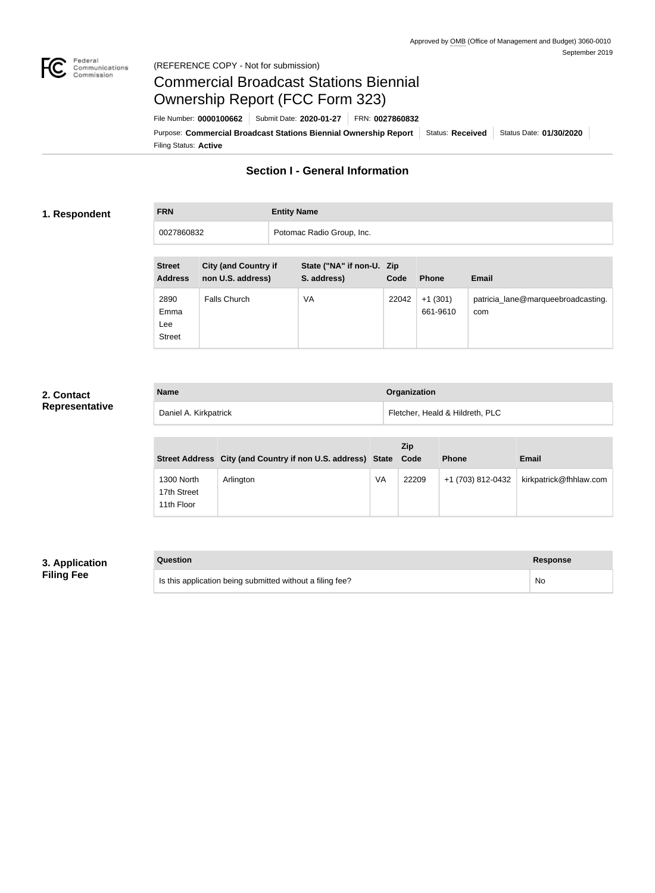

#### Federal<br>Communications<br>Commission (REFERENCE COPY - Not for submission)

## Commercial Broadcast Stations Biennial Ownership Report (FCC Form 323)

Filing Status: **Active** Purpose: Commercial Broadcast Stations Biennial Ownership Report Status: Received Status Date: 01/30/2020 File Number: **0000100662** Submit Date: **2020-01-27** FRN: **0027860832**

## **Section I - General Information**

#### **1. Respondent**

# **FRN Entity Name**

0027860832 Potomac Radio Group, Inc.

| <b>Street</b><br><b>Address</b>      | <b>City (and Country if</b><br>non U.S. address) | State ("NA" if non-U. Zip<br>S. address) | Code  | <b>Phone</b>          | <b>Email</b>                              |
|--------------------------------------|--------------------------------------------------|------------------------------------------|-------|-----------------------|-------------------------------------------|
| 2890<br>Emma<br>Lee<br><b>Street</b> | Falls Church                                     | VA                                       | 22042 | $+1(301)$<br>661-9610 | patricia_lane@marqueebroadcasting.<br>com |

#### **2. Contact Representative**

| <b>Name</b>           | Organization                    |
|-----------------------|---------------------------------|
| Daniel A. Kirkpatrick | Fletcher, Heald & Hildreth, PLC |

|                                         | Street Address City (and Country if non U.S. address) State Code |    | <b>Zip</b> | <b>Phone</b>      | Email                  |
|-----------------------------------------|------------------------------------------------------------------|----|------------|-------------------|------------------------|
| 1300 North<br>17th Street<br>11th Floor | Arlington                                                        | VA | 22209      | +1 (703) 812-0432 | kirkpatrick@fhhlaw.com |

### **3. Application Filing Fee**

| Question                                                  | Response |
|-----------------------------------------------------------|----------|
| Is this application being submitted without a filing fee? | No       |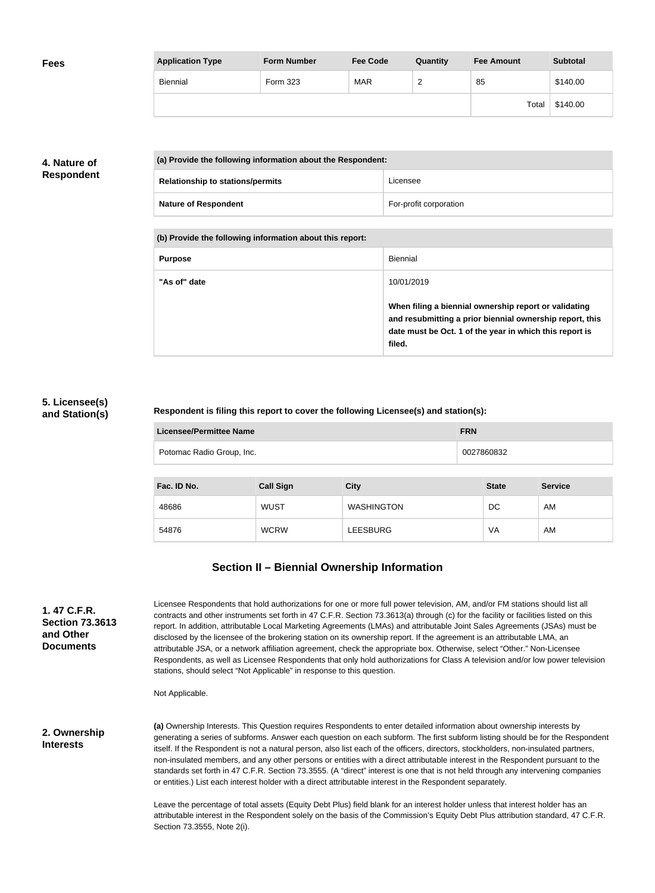| <b>Fees</b> | <b>Application Type</b> | <b>Form Number</b> | <b>Fee Code</b> | Quantity | <b>Fee Amount</b> | <b>Subtotal</b> |
|-------------|-------------------------|--------------------|-----------------|----------|-------------------|-----------------|
|             | <b>Biennial</b>         | Form 323           | <b>MAR</b>      | ∽        | 85                | \$140.00        |
|             |                         |                    |                 |          | Total             | \$140.00        |

#### **4. Nature of Respondent**

| (a) Provide the following information about the Respondent: |                        |  |
|-------------------------------------------------------------|------------------------|--|
| <b>Relationship to stations/permits</b>                     | Licensee               |  |
| <b>Nature of Respondent</b>                                 | For-profit corporation |  |

**(b) Provide the following information about this report:**

| <b>Purpose</b> | Biennial                                                                                                                                                                               |
|----------------|----------------------------------------------------------------------------------------------------------------------------------------------------------------------------------------|
| "As of" date   | 10/01/2019                                                                                                                                                                             |
|                | When filing a biennial ownership report or validating<br>and resubmitting a prior biennial ownership report, this<br>date must be Oct. 1 of the year in which this report is<br>filed. |

#### **5. Licensee(s) and Station(s)**

#### **Respondent is filing this report to cover the following Licensee(s) and station(s):**

| Licensee/Permittee Name   | <b>FRN</b> |
|---------------------------|------------|
| Potomac Radio Group, Inc. | 0027860832 |

| Fac. ID No. | <b>Call Sign</b> | <b>City</b>       | <b>State</b> | <b>Service</b> |
|-------------|------------------|-------------------|--------------|----------------|
| 48686       | <b>WUST</b>      | <b>WASHINGTON</b> | DC           | AM             |
| 54876       | <b>WCRW</b>      | LEESBURG          | VA           | AM             |

## **Section II – Biennial Ownership Information**

| 1. 47 C.F.R.           |  |  |
|------------------------|--|--|
| <b>Section 73.3613</b> |  |  |
| and Other              |  |  |
| <b>Documents</b>       |  |  |
|                        |  |  |

Licensee Respondents that hold authorizations for one or more full power television, AM, and/or FM stations should list all contracts and other instruments set forth in 47 C.F.R. Section 73.3613(a) through (c) for the facility or facilities listed on this report. In addition, attributable Local Marketing Agreements (LMAs) and attributable Joint Sales Agreements (JSAs) must be disclosed by the licensee of the brokering station on its ownership report. If the agreement is an attributable LMA, an attributable JSA, or a network affiliation agreement, check the appropriate box. Otherwise, select "Other." Non-Licensee Respondents, as well as Licensee Respondents that only hold authorizations for Class A television and/or low power television stations, should select "Not Applicable" in response to this question.

Not Applicable.

**2. Ownership Interests**

**(a)** Ownership Interests. This Question requires Respondents to enter detailed information about ownership interests by generating a series of subforms. Answer each question on each subform. The first subform listing should be for the Respondent itself. If the Respondent is not a natural person, also list each of the officers, directors, stockholders, non-insulated partners, non-insulated members, and any other persons or entities with a direct attributable interest in the Respondent pursuant to the standards set forth in 47 C.F.R. Section 73.3555. (A "direct" interest is one that is not held through any intervening companies or entities.) List each interest holder with a direct attributable interest in the Respondent separately.

Leave the percentage of total assets (Equity Debt Plus) field blank for an interest holder unless that interest holder has an attributable interest in the Respondent solely on the basis of the Commission's Equity Debt Plus attribution standard, 47 C.F.R. Section 73.3555, Note 2(i).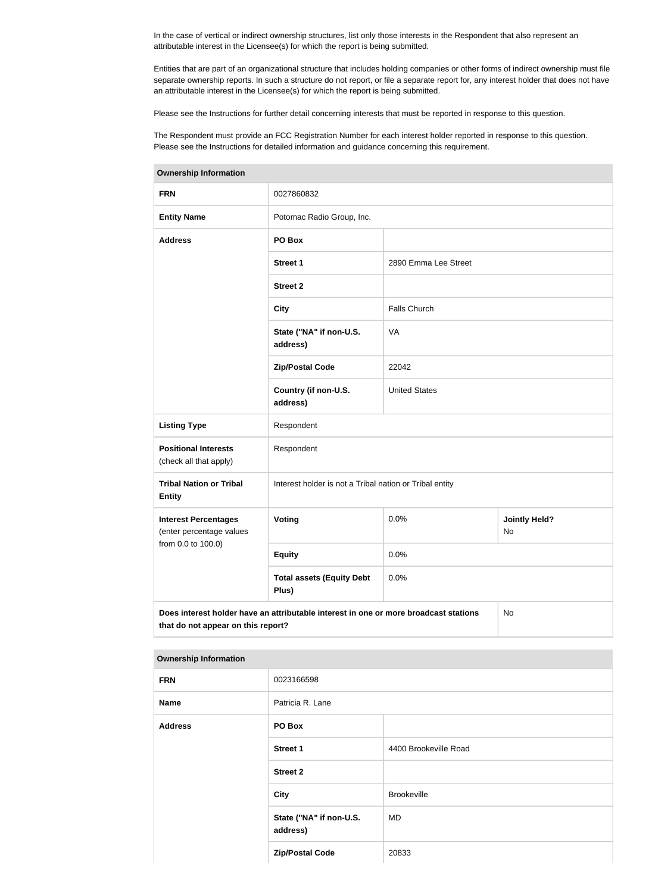In the case of vertical or indirect ownership structures, list only those interests in the Respondent that also represent an attributable interest in the Licensee(s) for which the report is being submitted.

Entities that are part of an organizational structure that includes holding companies or other forms of indirect ownership must file separate ownership reports. In such a structure do not report, or file a separate report for, any interest holder that does not have an attributable interest in the Licensee(s) for which the report is being submitted.

Please see the Instructions for further detail concerning interests that must be reported in response to this question.

The Respondent must provide an FCC Registration Number for each interest holder reported in response to this question. Please see the Instructions for detailed information and guidance concerning this requirement.

| <b>Ownership Information</b>                                                                                                     |                                                         |                      |                            |  |
|----------------------------------------------------------------------------------------------------------------------------------|---------------------------------------------------------|----------------------|----------------------------|--|
| <b>FRN</b>                                                                                                                       | 0027860832                                              |                      |                            |  |
| <b>Entity Name</b>                                                                                                               | Potomac Radio Group, Inc.                               |                      |                            |  |
| <b>Address</b>                                                                                                                   | PO Box                                                  |                      |                            |  |
|                                                                                                                                  | <b>Street 1</b>                                         | 2890 Emma Lee Street |                            |  |
|                                                                                                                                  | <b>Street 2</b>                                         |                      |                            |  |
|                                                                                                                                  | <b>City</b>                                             | <b>Falls Church</b>  |                            |  |
|                                                                                                                                  | State ("NA" if non-U.S.<br>address)                     | VA                   |                            |  |
|                                                                                                                                  | <b>Zip/Postal Code</b>                                  | 22042                |                            |  |
|                                                                                                                                  | Country (if non-U.S.<br>address)                        | <b>United States</b> |                            |  |
| <b>Listing Type</b>                                                                                                              | Respondent                                              |                      |                            |  |
| <b>Positional Interests</b><br>(check all that apply)                                                                            | Respondent                                              |                      |                            |  |
| <b>Tribal Nation or Tribal</b><br><b>Entity</b>                                                                                  | Interest holder is not a Tribal nation or Tribal entity |                      |                            |  |
| <b>Interest Percentages</b><br>(enter percentage values                                                                          | Voting                                                  | 0.0%                 | <b>Jointly Held?</b><br>No |  |
| from 0.0 to 100.0)                                                                                                               | <b>Equity</b>                                           | 0.0%                 |                            |  |
|                                                                                                                                  | <b>Total assets (Equity Debt</b><br>Plus)               | 0.0%                 |                            |  |
| Does interest holder have an attributable interest in one or more broadcast stations<br>No<br>that do not appear on this report? |                                                         |                      |                            |  |

**Ownership Information**

| <b>FRN</b>     | 0023166598                          |                       |  |
|----------------|-------------------------------------|-----------------------|--|
| Name           | Patricia R. Lane                    |                       |  |
| <b>Address</b> | PO Box                              |                       |  |
|                | <b>Street 1</b>                     | 4400 Brookeville Road |  |
|                | <b>Street 2</b>                     |                       |  |
|                | <b>City</b>                         | <b>Brookeville</b>    |  |
|                | State ("NA" if non-U.S.<br>address) | <b>MD</b>             |  |
|                | <b>Zip/Postal Code</b>              | 20833                 |  |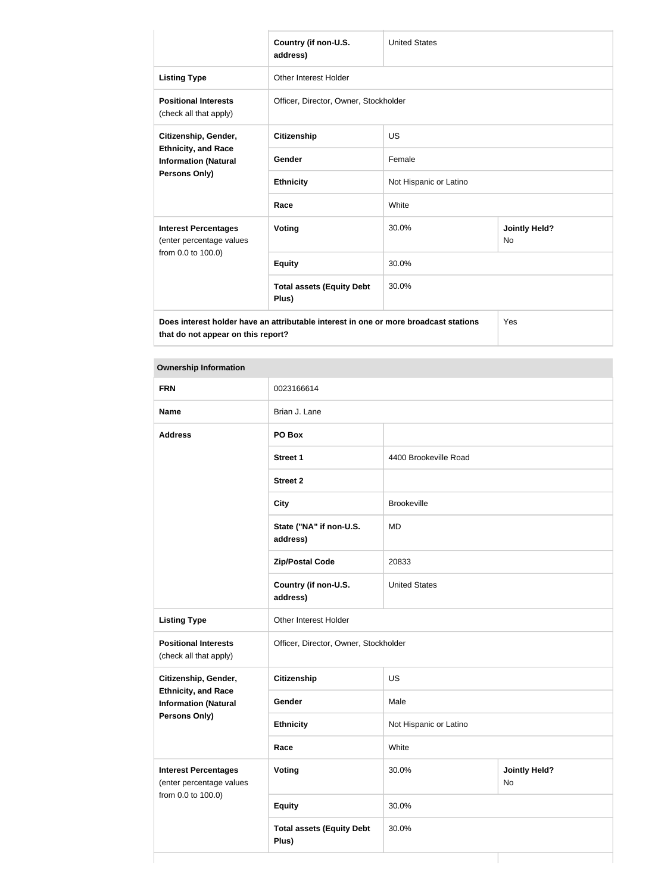|                                                                                      | Country (if non-U.S.<br>address)          | <b>United States</b>   |                                   |
|--------------------------------------------------------------------------------------|-------------------------------------------|------------------------|-----------------------------------|
| <b>Listing Type</b>                                                                  | Other Interest Holder                     |                        |                                   |
| <b>Positional Interests</b><br>(check all that apply)                                | Officer, Director, Owner, Stockholder     |                        |                                   |
| Citizenship, Gender,<br><b>Ethnicity, and Race</b><br><b>Information (Natural</b>    | <b>Citizenship</b>                        | <b>US</b>              |                                   |
|                                                                                      | Gender                                    | Female                 |                                   |
| <b>Persons Only)</b>                                                                 | <b>Ethnicity</b>                          | Not Hispanic or Latino |                                   |
|                                                                                      | Race                                      | White                  |                                   |
| <b>Interest Percentages</b><br>(enter percentage values                              | <b>Voting</b>                             | 30.0%                  | <b>Jointly Held?</b><br><b>No</b> |
| from 0.0 to 100.0)                                                                   | <b>Equity</b>                             | 30.0%                  |                                   |
|                                                                                      | <b>Total assets (Equity Debt</b><br>Plus) | 30.0%                  |                                   |
| Does interest holder have an attributable interest in one or more broadcast stations |                                           |                        | Yes                               |

#### **Ownership Information**

**that do not appear on this report?**

| <b>FRN</b>                                                | 0023166614                                |                        |                            |  |
|-----------------------------------------------------------|-------------------------------------------|------------------------|----------------------------|--|
| <b>Name</b>                                               | Brian J. Lane                             |                        |                            |  |
| <b>Address</b>                                            | PO Box                                    |                        |                            |  |
|                                                           | <b>Street 1</b>                           | 4400 Brookeville Road  |                            |  |
|                                                           | <b>Street 2</b>                           |                        |                            |  |
|                                                           | <b>City</b>                               | Brookeville            |                            |  |
|                                                           | State ("NA" if non-U.S.<br>address)       | <b>MD</b>              |                            |  |
|                                                           | <b>Zip/Postal Code</b>                    | 20833                  |                            |  |
|                                                           | Country (if non-U.S.<br>address)          | <b>United States</b>   |                            |  |
| <b>Listing Type</b>                                       | Other Interest Holder                     |                        |                            |  |
| <b>Positional Interests</b><br>(check all that apply)     | Officer, Director, Owner, Stockholder     |                        |                            |  |
| Citizenship, Gender,                                      | Citizenship                               | US                     |                            |  |
| <b>Ethnicity, and Race</b><br><b>Information (Natural</b> | Gender                                    | Male                   |                            |  |
| Persons Only)                                             | <b>Ethnicity</b>                          | Not Hispanic or Latino |                            |  |
|                                                           | Race                                      | White                  |                            |  |
| <b>Interest Percentages</b><br>(enter percentage values   | <b>Voting</b>                             | 30.0%                  | <b>Jointly Held?</b><br>No |  |
| from 0.0 to 100.0)                                        | <b>Equity</b>                             | 30.0%                  |                            |  |
|                                                           | <b>Total assets (Equity Debt</b><br>Plus) | 30.0%                  |                            |  |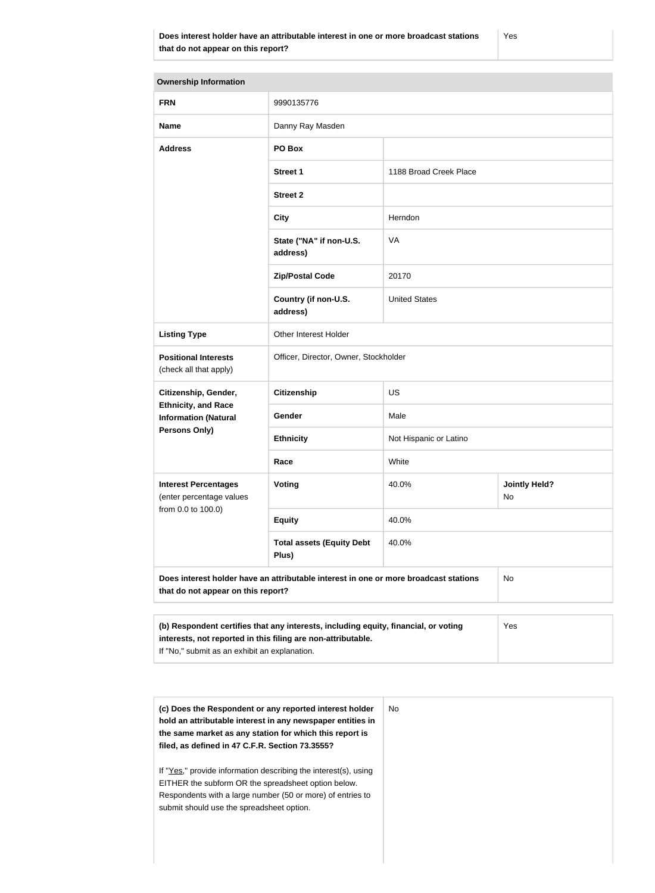| <b>Ownership Information</b>                                                                                               |                                                                                                                                                            |                        |                            |  |
|----------------------------------------------------------------------------------------------------------------------------|------------------------------------------------------------------------------------------------------------------------------------------------------------|------------------------|----------------------------|--|
| <b>FRN</b>                                                                                                                 | 9990135776                                                                                                                                                 |                        |                            |  |
| <b>Name</b>                                                                                                                | Danny Ray Masden                                                                                                                                           |                        |                            |  |
| <b>Address</b>                                                                                                             | PO Box                                                                                                                                                     |                        |                            |  |
|                                                                                                                            | <b>Street 1</b>                                                                                                                                            | 1188 Broad Creek Place |                            |  |
|                                                                                                                            | <b>Street 2</b>                                                                                                                                            |                        |                            |  |
|                                                                                                                            | <b>City</b>                                                                                                                                                | Herndon                |                            |  |
|                                                                                                                            | State ("NA" if non-U.S.<br>address)                                                                                                                        | <b>VA</b>              |                            |  |
|                                                                                                                            | <b>Zip/Postal Code</b>                                                                                                                                     | 20170                  |                            |  |
|                                                                                                                            | Country (if non-U.S.<br>address)                                                                                                                           | <b>United States</b>   |                            |  |
| <b>Listing Type</b>                                                                                                        | Other Interest Holder                                                                                                                                      |                        |                            |  |
| <b>Positional Interests</b><br>(check all that apply)                                                                      | Officer, Director, Owner, Stockholder                                                                                                                      |                        |                            |  |
| Citizenship, Gender,                                                                                                       | <b>Citizenship</b>                                                                                                                                         | <b>US</b>              |                            |  |
| <b>Ethnicity, and Race</b><br><b>Information (Natural</b>                                                                  | Gender                                                                                                                                                     | Male                   |                            |  |
| <b>Persons Only)</b>                                                                                                       | <b>Ethnicity</b>                                                                                                                                           | Not Hispanic or Latino |                            |  |
|                                                                                                                            | Race                                                                                                                                                       | White                  |                            |  |
| <b>Interest Percentages</b><br>(enter percentage values                                                                    | <b>Voting</b>                                                                                                                                              | 40.0%                  | <b>Jointly Held?</b><br>No |  |
| from 0.0 to 100.0)                                                                                                         | <b>Equity</b>                                                                                                                                              | 40.0%                  |                            |  |
|                                                                                                                            | <b>Total assets (Equity Debt</b><br>Plus)                                                                                                                  | 40.0%                  |                            |  |
| Does interest holder have an attributable interest in one or more broadcast stations<br>that do not appear on this report? |                                                                                                                                                            |                        | <b>No</b>                  |  |
|                                                                                                                            |                                                                                                                                                            |                        |                            |  |
|                                                                                                                            | (b) Respondent certifies that any interests, including equity, financial, or voting<br>Yes<br>interests, not reported in this filing are non-attributable. |                        |                            |  |

If "No," submit as an exhibit an explanation.

| (c) Does the Respondent or any reported interest holder<br>hold an attributable interest in any newspaper entities in<br>the same market as any station for which this report is<br>filed, as defined in 47 C.F.R. Section 73.3555? |
|-------------------------------------------------------------------------------------------------------------------------------------------------------------------------------------------------------------------------------------|
| If "Yes," provide information describing the interest(s), using<br>EITHER the subform OR the spreadsheet option below.<br>Respondents with a large number (50 or more) of entries to<br>submit should use the spreadsheet option.   |
|                                                                                                                                                                                                                                     |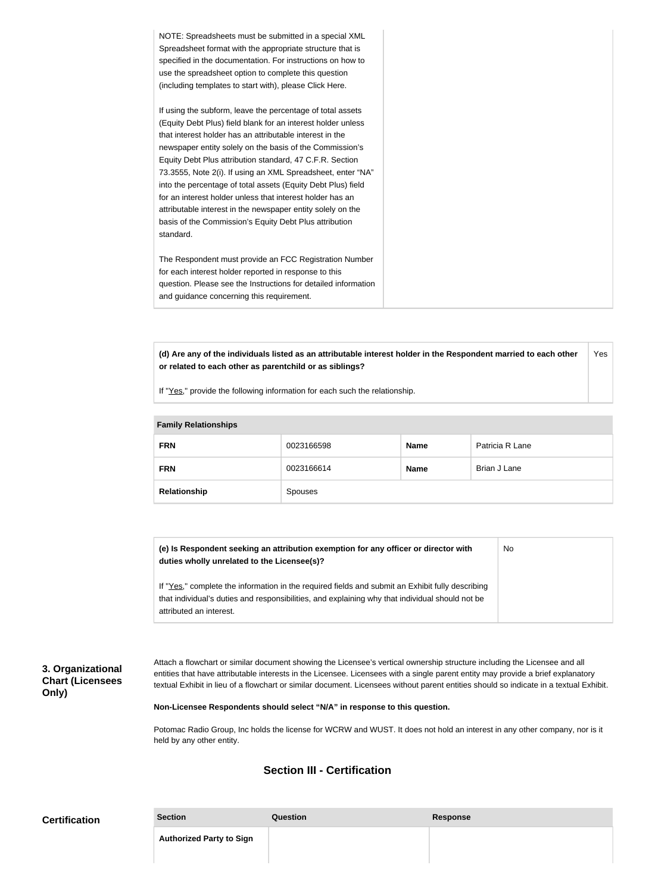| NOTE: Spreadsheets must be submitted in a special XML          |
|----------------------------------------------------------------|
| Spreadsheet format with the appropriate structure that is      |
| specified in the documentation. For instructions on how to     |
| use the spreadsheet option to complete this question           |
| (including templates to start with), please Click Here.        |
|                                                                |
| If using the subform, leave the percentage of total assets     |
| (Equity Debt Plus) field blank for an interest holder unless   |
| that interest holder has an attributable interest in the       |
| newspaper entity solely on the basis of the Commission's       |
| Equity Debt Plus attribution standard, 47 C.F.R. Section       |
| 73.3555, Note 2(i). If using an XML Spreadsheet, enter "NA"    |
| into the percentage of total assets (Equity Debt Plus) field   |
| for an interest holder unless that interest holder has an      |
|                                                                |
| attributable interest in the newspaper entity solely on the    |
| basis of the Commission's Equity Debt Plus attribution         |
| standard.                                                      |
|                                                                |
| The Respondent must provide an FCC Registration Number         |
| for each interest holder reported in response to this          |
| question. Please see the Instructions for detailed information |
| and guidance concerning this requirement.                      |
|                                                                |

**(d) Are any of the individuals listed as an attributable interest holder in the Respondent married to each other or related to each other as parentchild or as siblings?** Yes

If "Yes," provide the following information for each such the relationship.

| <b>Family Relationships</b> |            |             |                 |
|-----------------------------|------------|-------------|-----------------|
| <b>FRN</b>                  | 0023166598 | <b>Name</b> | Patricia R Lane |
| <b>FRN</b>                  | 0023166614 | <b>Name</b> | Brian J Lane    |
| Relationship                | Spouses    |             |                 |

| (e) Is Respondent seeking an attribution exemption for any officer or director with<br>duties wholly unrelated to the Licensee(s)?                                                                  | No. |
|-----------------------------------------------------------------------------------------------------------------------------------------------------------------------------------------------------|-----|
| If "Yes," complete the information in the required fields and submit an Exhibit fully describing<br>that individual's duties and responsibilities, and explaining why that individual should not be |     |
| attributed an interest.                                                                                                                                                                             |     |

**3. Organizational Chart (Licensees Only)**

Attach a flowchart or similar document showing the Licensee's vertical ownership structure including the Licensee and all entities that have attributable interests in the Licensee. Licensees with a single parent entity may provide a brief explanatory textual Exhibit in lieu of a flowchart or similar document. Licensees without parent entities should so indicate in a textual Exhibit.

**Non-Licensee Respondents should select "N/A" in response to this question.**

Potomac Radio Group, Inc holds the license for WCRW and WUST. It does not hold an interest in any other company, nor is it held by any other entity.

#### **Section III - Certification**

| <b>Certification</b> | <b>Section</b>                  | Question | <b>Response</b> |
|----------------------|---------------------------------|----------|-----------------|
|                      | <b>Authorized Party to Sign</b> |          |                 |
|                      |                                 |          |                 |